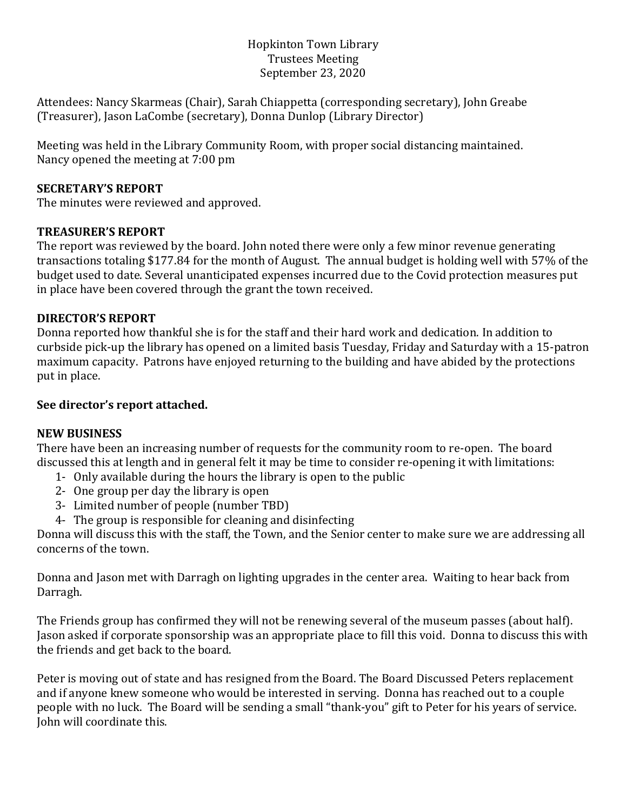## Hopkinton Town Library Trustees Meeting September 23, 2020

Attendees: Nancy Skarmeas (Chair), Sarah Chiappetta (corresponding secretary), John Greabe (Treasurer), Jason LaCombe (secretary), Donna Dunlop (Library Director)

Meeting was held in the Library Community Room, with proper social distancing maintained. Nancy opened the meeting at 7:00 pm

## **SECRETARY'S REPORT**

The minutes were reviewed and approved.

## **TREASURER'S REPORT**

The report was reviewed by the board. John noted there were only a few minor revenue generating transactions totaling \$177.84 for the month of August. The annual budget is holding well with 57% of the budget used to date. Several unanticipated expenses incurred due to the Covid protection measures put in place have been covered through the grant the town received.

# **DIRECTOR'S REPORT**

Donna reported how thankful she is for the staff and their hard work and dedication. In addition to curbside pick-up the library has opened on a limited basis Tuesday, Friday and Saturday with a 15-patron maximum capacity. Patrons have enjoyed returning to the building and have abided by the protections put in place.

## **See director's report attached.**

#### **NEW BUSINESS**

There have been an increasing number of requests for the community room to re-open. The board discussed this at length and in general felt it may be time to consider re-opening it with limitations:

- 1- Only available during the hours the library is open to the public
- 2- One group per day the library is open
- 3- Limited number of people (number TBD)
- 4- The group is responsible for cleaning and disinfecting

Donna will discuss this with the staff, the Town, and the Senior center to make sure we are addressing all concerns of the town.

Donna and Jason met with Darragh on lighting upgrades in the center area. Waiting to hear back from Darragh.

The Friends group has confirmed they will not be renewing several of the museum passes (about half). Jason asked if corporate sponsorship was an appropriate place to fill this void. Donna to discuss this with the friends and get back to the board.

Peter is moving out of state and has resigned from the Board. The Board Discussed Peters replacement and if anyone knew someone who would be interested in serving. Donna has reached out to a couple people with no luck. The Board will be sending a small "thank-you" gift to Peter for his years of service. John will coordinate this.